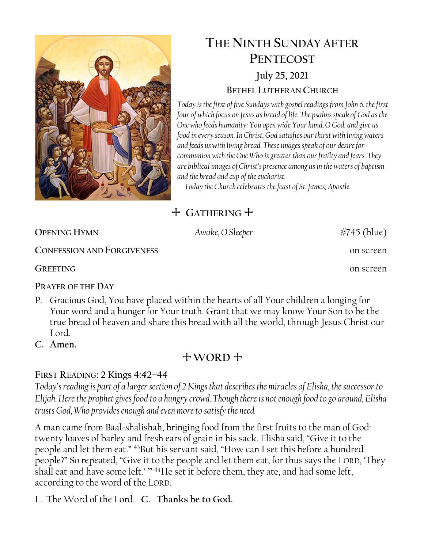

# **THE NINTH SUNDAY AFTER PENTECOST July 25, 2021 BETHEL LUTHERAN CHURCH**

*Today is the first of five Sundays with gospel readings from John 6, the first four of which focus on Jesus as bread of life. The psalms speak of God as the One who feeds humanity: You open wide Your hand, O God, and give us food in every season. In Christ, God satisfies our thirst with living waters and feeds us with living bread. These images speak of our desire for communion with the One Who is greater than our frailty and fears. They are biblical images of Christ's presence among us in the waters of baptism and the bread and cup of the eucharist.*

*Today the Church celebrates the feast of St. James, Apostle.* 

# + **GATHERING** +

| <b>OPENING HYMN</b>               | Awake, O Sleeper | $#745$ (blue) |
|-----------------------------------|------------------|---------------|
| <b>CONFESSION AND FORGIVENESS</b> |                  | on screen     |
| <b>GREETING</b>                   |                  | on screen     |

**PRAYER OF THE DAY**

- P. Gracious God, You have placed within the hearts of all Your children a longing for Your word and a hunger for Your truth. Grant that we may know Your Son to be the true bread of heaven and share this bread with all the world, through Jesus Christ our Lord<sub>.</sub>
- **C. Amen.**

# + **WORD** +

## **FIRST READING: 2 Kings 4:42–44**

*Today's reading is part of a larger section of 2 Kings that describes the miracles of Elisha, the successor to Elijah. Here the prophet gives food to a hungry crowd. Though there is not enough food to go around, Elisha trusts God, Who provides enough and even more to satisfy the need.*

A man came from Baal-shalishah, bringing food from the first fruits to the man of God: twenty loaves of barley and fresh ears of grain in his sack. Elisha said, "Give it to the people and let them eat." <sup>43</sup>But his servant said, "How can I set this before a hundred people?" So repeated, "Give it to the people and let them eat, for thus says the LORD, 'They shall eat and have some left.' "<sup>44</sup>He set it before them, they ate, and had some left, according to the word of the LORD.

L. The Word of the Lord. **C. Thanks be to God.**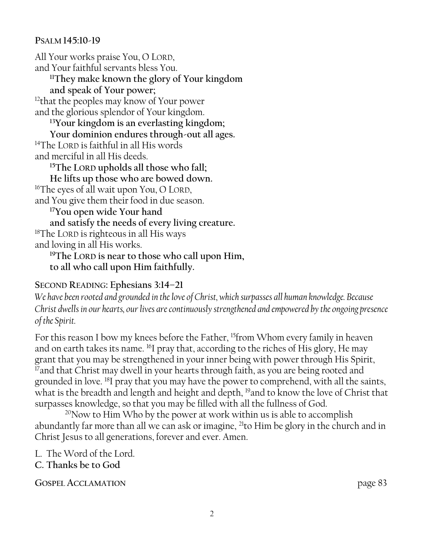### **PSALM 145:10-19**

All Your works praise You, O LORD, and Your faithful servants bless You. **<sup>11</sup>They make known the glory of Your kingdom and speak of Your power;** <sup>12</sup>that the peoples may know of Your power and the glorious splendor of Your kingdom. **<sup>13</sup>Your kingdom is an everlasting kingdom; Your dominion endures through-out all ages.**  <sup>14</sup>The LORD is faithful in all His words and merciful in all His deeds. **<sup>15</sup>The LORD upholds all those who fall; He lifts up those who are bowed down.** <sup>16</sup>The eyes of all wait upon You, O LORD, and You give them their food in due season. **<sup>17</sup>You open wide Your hand and satisfy the needs of every living creature.**  <sup>18</sup>The LORD is righteous in all His ways and loving in all His works. **<sup>19</sup>The LORD is near to those who call upon Him, to all who call upon Him faithfully.**

## **SECOND READING: Ephesians 3:14–21**

*We have been rooted and grounded in the love of Christ, which surpasses all human knowledge. Because Christ dwells in our hearts, our lives are continuously strengthened and empowered by the ongoing presence of the Spirit.*

For this reason I bow my knees before the Father, <sup>15</sup>from Whom every family in heaven and on earth takes its name. <sup>16</sup>I pray that, according to the riches of His glory, He may grant that you may be strengthened in your inner being with power through His Spirit, <sup>17</sup> and that Christ may dwell in your hearts through faith, as you are being rooted and grounded in love. <sup>18</sup>I pray that you may have the power to comprehend, with all the saints, what is the breadth and length and height and depth, <sup>19</sup>and to know the love of Christ that surpasses knowledge, so that you may be filled with all the fullness of God.

<sup>20</sup>Now to Him Who by the power at work within us is able to accomplish abundantly far more than all we can ask or imagine, <sup>21</sup>to Him be glory in the church and in Christ Jesus to all generations, forever and ever. Amen.

L. The Word of the Lord. **C. Thanks be to God**

**GOSPEL ACCLAMATION** page 83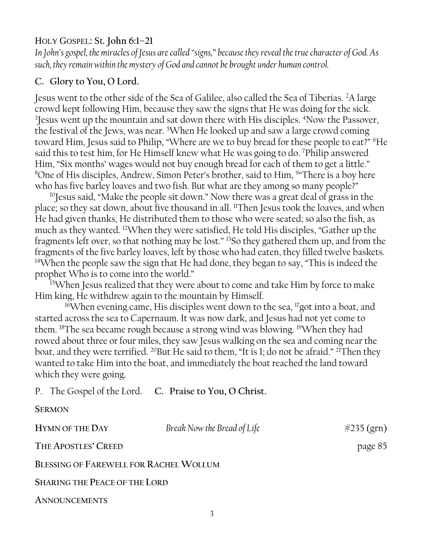## HOLY GOSPEL: St. **John 6:1–21**

*In John's gospel, the miracles of Jesus are called "signs,*" *because they reveal the true character of God. As such, they remain within the mystery of God and cannot be brought under human control.*

## **C. Glory to You, O Lord.**

Jesus went to the other side of the Sea of Galilee, also called the Sea of Tiberias. <sup>2</sup>A large crowd kept following Him, because they saw the signs that He was doing for the sick. <sup>3</sup> Jesus went up the mountain and sat down there with His disciples. <sup>4</sup>Now the Passover, the festival of the Jews, was near. <sup>5</sup>When He looked up and saw a large crowd coming toward Him, Jesus said to Philip, "Where are we to buy bread for these people to eat?" <sup>6</sup>He said this to test him, for He Himself knew what He was going to do. <sup>7</sup>Philip answered Him, "Six months' wages would not buy enough bread for each of them to get a little." <sup>8</sup>One of His disciples, Andrew, Simon Peter's brother, said to Him, <sup>9</sup>"There is a boy here who has five barley loaves and two fish. But what are they among so many people?"

<sup>10</sup>Jesus said, "Make the people sit down." Now there was a great deal of grass in the place; so they sat down, about five thousand in all. <sup>11</sup>Then Jesus took the loaves, and when He had given thanks, He distributed them to those who were seated; so also the fish, as much as they wanted. <sup>12</sup>When they were satisfied, He told His disciples, "Gather up the fragments left over, so that nothing may be lost." <sup>13</sup>So they gathered them up, and from the fragments of the five barley loaves, left by those who had eaten, they filled twelve baskets. <sup>14</sup>When the people saw the sign that He had done, they began to say, "This is indeed the prophet Who is to come into the world."

<sup>15</sup>When Jesus realized that they were about to come and take Him by force to make Him king, He withdrew again to the mountain by Himself.

<sup>16</sup>When evening came, His disciples went down to the sea, <sup>17</sup>got into a boat, and started across the sea to Capernaum. It was now dark, and Jesus had not yet come to them. <sup>18</sup>The sea became rough because a strong wind was blowing. <sup>19</sup>When they had rowed about three or four miles, they saw Jesus walking on the sea and coming near the boat, and they were terrified. <sup>20</sup>But He said to them, "It is I; do not be afraid." <sup>21</sup>Then they wanted to take Him into the boat, and immediately the boat reached the land toward which they were going.

P. The Gospel of the Lord. **C. Praise to You, O Christ.**

| <b>SERMON</b>                          |                             |               |
|----------------------------------------|-----------------------------|---------------|
| HYMN OF THE DAY                        | Break Now the Bread of Life | $\#235$ (grn) |
| THE APOSTLES' CREED                    |                             | page 85       |
| BLESSING OF FAREWELL FOR RACHEL WOLLUM |                             |               |
| <b>SHARING THE PEACE OF THE LORD</b>   |                             |               |
| <b>ANNOUNCEMENTS</b>                   |                             |               |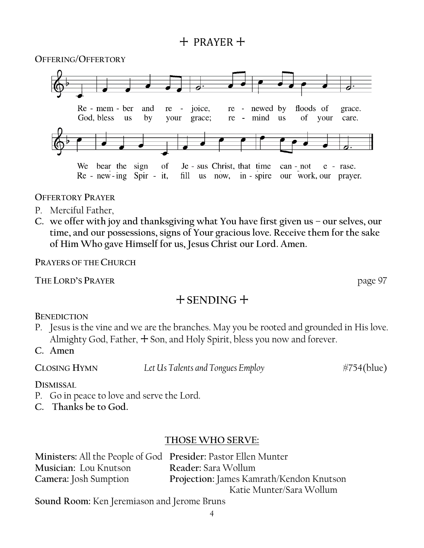# + PRAYER +

**OFFERING/OFFERTORY**



**OFFERTORY PRAYER**

- P. Merciful Father,
- **C. we offer with joy and thanksgiving what You have first given us – our selves, our time, and our possessions, signs of Your gracious love. Receive them for the sake of Him Who gave Himself for us, Jesus Christ our Lord. Amen.**

**PRAYERS OF THE CHURCH**

**THE LORD'S PRAYER** page 97

# + **SENDING** +

**BENEDICTION**

- P. Jesus is the vine and we are the branches. May you be rooted and grounded in His love. Almighty God, Father,  $+$  Son, and Holy Spirit, bless you now and forever.
- **C. Amen**

**CLOSING HYMN** *Let Us Talents and Tongues Employ* #754(blue)

**DISMISSAL** 

- P. Go in peace to love and serve the Lord.
- **C. Thanks be to God.**

## **THOSE WHO SERVE:**

| Ministers: All the People of God Presider: Pastor Ellen Munter |                                          |
|----------------------------------------------------------------|------------------------------------------|
| Musician: Lou Knutson                                          | Reader: Sara Wollum                      |
| Camera: Josh Sumption                                          | Projection: James Kamrath/Kendon Knutson |
|                                                                | Katie Munter/Sara Wollum                 |

**Sound Room:** Ken Jeremiason and Jerome Bruns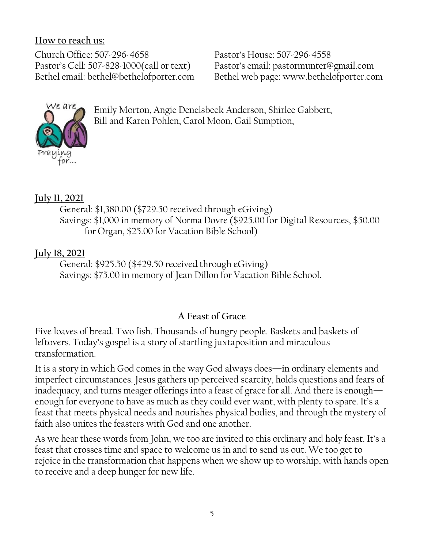## **How to reach us:**

Church Office: 507-296-4658 Pastor's House: 507-296-4558 Pastor's Cell: 507-828-1000(call or text) Pastor's email: pastormunter@gmail.com

Bethel email: bethel@bethelofporter.com Bethel web page: www.bethelofporter.com



Emily Morton, Angie Denelsbeck Anderson, Shirlee Gabbert, Bill and Karen Pohlen, Carol Moon, Gail Sumption,

# **July 11, 2021**

 General: \$1,380.00 (\$729.50 received through eGiving) Savings: \$1,000 in memory of Norma Dovre (\$925.00 for Digital Resources, \$50.00 for Organ, \$25.00 for Vacation Bible School)

# **July 18, 2021**

 General: \$925.50 (\$429.50 received through eGiving) Savings: \$75.00 in memory of Jean Dillon for Vacation Bible School.

# **A Feast of Grace**

Five loaves of bread. Two fish. Thousands of hungry people. Baskets and baskets of leftovers. Today's gospel is a story of startling juxtaposition and miraculous transformation.

It is a story in which God comes in the way God always does—in ordinary elements and imperfect circumstances. Jesus gathers up perceived scarcity, holds questions and fears of inadequacy, and turns meager offerings into a feast of grace for all. And there is enough enough for everyone to have as much as they could ever want, with plenty to spare. It's a feast that meets physical needs and nourishes physical bodies, and through the mystery of faith also unites the feasters with God and one another.

As we hear these words from John, we too are invited to this ordinary and holy feast. It's a feast that crosses time and space to welcome us in and to send us out. We too get to rejoice in the transformation that happens when we show up to worship, with hands open to receive and a deep hunger for new life.